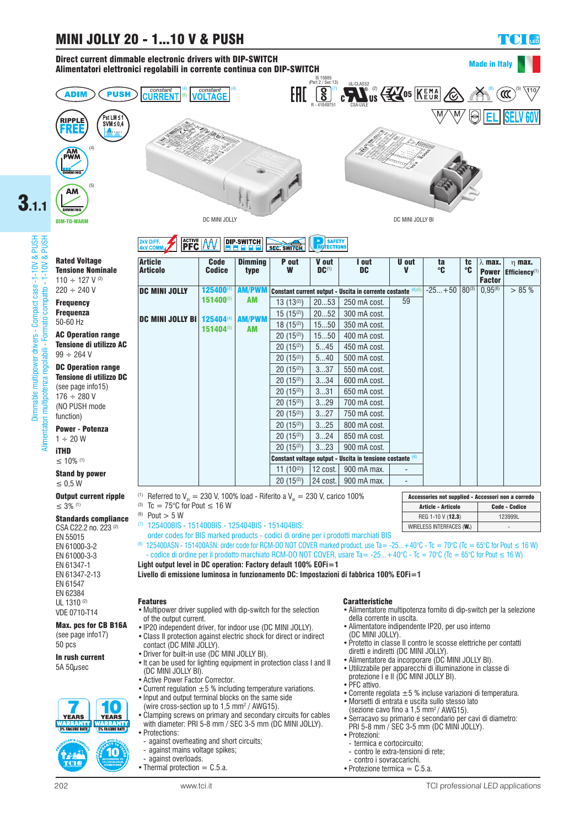#### Direct current dimmable electronic drivers with DIP-SWITCH Alimentatori elettronici regolabili in corrente continua con DIP-SWITCH



3.1.1



UL 1310 (2) VDE 0710-T14

Max. pcs for CB B16A (see page info17) 50 pcs

In rush current 5A  $50\mu$ sec



10

#### **DIP-SWITCH EXV DIFF.**<br>IKV COMI **PFC AV SEC. SWITCH**

|           | <b>Article</b><br><b>Articolo</b>    | <b>Code</b><br><b>Codice</b> | <b>Dimming</b><br>type     | P out<br>W                                                   | V out<br>$DC^{(1)}$ | I out<br>DC  | U out<br>v | ta<br>°C | tc<br>℃    | $\lambda$ max.<br><b>Power</b><br><b>Factor</b> | $\eta$ max.<br>Efficiency <sup>(1)</sup> |
|-----------|--------------------------------------|------------------------------|----------------------------|--------------------------------------------------------------|---------------------|--------------|------------|----------|------------|-------------------------------------------------|------------------------------------------|
|           | <b>DC MINI JOLLY</b>                 | 125400(4)<br>151400(5)       | <b>AM/PWM</b><br>AM        | Constant current output - Uscita in corrente costante (4)(5) |                     |              |            | $-25+50$ | $80^{(3)}$ | $0.95^{(6)}$                                    | $> 85 \%$                                |
|           |                                      |                              |                            | 13 $(13^{(2)})$                                              | 2053                | 250 mA cost. | 59         |          |            |                                                 |                                          |
|           | <b>DC MINI JOLLY BI   125404 (4)</b> | 151404(5)                    | <b>AM/PWM</b><br><b>AM</b> | 15 $(15^{(2)})$                                              | 2052                | 300 mA cost. |            |          |            |                                                 |                                          |
|           |                                      |                              |                            | $18(15^{(2)})$                                               | 1550                | 350 mA cost. |            |          |            |                                                 |                                          |
| le.       |                                      |                              |                            | $20(15^{(2)})$                                               | 1550                | 400 mA cost. |            |          |            |                                                 |                                          |
| <b>AC</b> |                                      |                              |                            | $20(15^{(2)})$                                               | 545                 | 450 mA cost. |            |          |            |                                                 |                                          |
|           |                                      |                              |                            | $20(15^{(2)})$                                               | 540                 | 500 mA cost. |            |          |            |                                                 |                                          |
| le.       |                                      |                              |                            | $20(15^{(2)})$                                               | 337                 | 550 mA cost. |            |          |            |                                                 |                                          |
| DC        |                                      |                              |                            | $20(15^{(2)})$                                               | 334                 | 600 mA cost. |            |          |            |                                                 |                                          |
|           |                                      |                              |                            | $20(15^{(2)})$                                               | 331                 | 650 mA cost. |            |          |            |                                                 |                                          |
|           |                                      |                              |                            | $20(15^{(2)})$                                               | 329                 | 700 mA cost. |            |          |            |                                                 |                                          |
|           |                                      |                              |                            | $20(15^{(2)})$                                               | 327                 | 750 mA cost. |            |          |            |                                                 |                                          |
|           |                                      |                              |                            | $20(15^{(2)})$                                               | 325                 | 800 mA cost. |            |          |            |                                                 |                                          |
|           |                                      |                              |                            | $20(15^{(2)})$                                               | 324                 | 850 mA cost. |            |          |            |                                                 |                                          |
|           |                                      |                              |                            | $20(15^{(2)})$                                               | 323                 | 900 mA cost. |            |          |            |                                                 |                                          |
|           |                                      |                              |                            | Constant voltage output - Uscita in tensione costante (4)    |                     |              |            |          |            |                                                 |                                          |
|           |                                      |                              |                            | 11 $(10^{(2)})$                                              | 12 cost.            | 900 mA max.  |            |          |            |                                                 |                                          |
|           |                                      |                              |                            | $20(15^{(2)})$                                               | 24 cost.            | 900 mA max.  |            |          |            |                                                 |                                          |

(1) Referred to  $V_{in} = 230$  V, 100% load - Riferito a  $V_{in} = 230$  V, carico 100%

(3) Tc =  $75^{\circ}$ C for Pout  $\leq 16$  W

(6) Pout  $> 5 W$ 

- (7) 125400BIS 151400BIS 125404BIS 151404BIS:
- order codes for BIS marked products codici di ordine per i prodotti marchiati BIS

(8) 125400ASN - 151400ASN: order code for RCM-DO NOT COVER marked product, use Ta= -25... +40°C - Tc = 70°C (Tc = 65°C for Pout  $\leq 16$  W)

- codice di ordine per il prodotto marchiato RCM-DO NOT COVER, usare Ta= -25... +40°C - Tc = 70°C (Tc = 65°C for Pout ≤ 16 W) **Light output level in DC operation: Factory default 100% EOFi=1**

**Livello di emissione luminosa in funzionamento DC: Impostazioni di fabbrica 100% EOFi=1**

#### Features

- • Multipower driver supplied with dip-switch for the selection of the output current.
- •IP20 independent driver, for indoor use (DC MINI JOLLY).
- •Class II protection against electric shock for direct or indirect contact (DC MINI JOLLY).
- Driver for built-in use (DC MINI JOLLY BI).
- It can be used for lighting equipment in protection class I and II (DC MINI JOLLY BI).
- Active Power Factor Corrector.
- Current regulation  $\pm 5$  % including temperature variations.
- Input and output terminal blocks on the same side
- (wire cross-section up to 1,5 mm<sup>2</sup> / AWG15).
- Clamping screws on primary and secondary circuits for cables with diameter: PRI 5-8 mm / SEC 3-5 mm (DC MINI JOLLY). •Protections:
	- against overheating and short circuits;
	- against mains voltage spikes;
	- against overloads.
- Thermal protection  $=$  C.5.a.

## Caratteristiche

• Alimentatore multipotenza fornito di dip-switch per la selezione della corrente in uscita.

WIRELESS INTERFACES (W.)

Accessories not supplied - Accessori non a corredo Article - Articolo Code - Codice REG 1-10 V (12.3) 123999L

- •Alimentatore indipendente IP20, per uso interno (DC MINI JOLLY).
- •Protetto in classe II contro le scosse elettriche per contatti diretti e indiretti (DC MINI JOLLY).
- •Alimentatore da incorporare (DC MINI JOLLY BI).
- • Utilizzabile per apparecchi di illuminazione in classe di
- protezione I e II (DC MINI JOLLY BI).
- PFC attivo.
- Corrente regolata  $\pm 5$  % incluse variazioni di temperatura.
- •Morsetti di entrata e uscita sullo stesso lato
- (sezione cavo fino a  $1,5$  mm<sup>2</sup>/ AWG15).
- •Serracavo su primario e secondario per cavi di diametro: PRI 5-8 mm / SEC 3-5 mm (DC MINI JOLLY).
- • Protezioni:
- termica e cortocircuito;
- contro le extra-tensioni di rete;
- contro i sovraccarichi.
- Protezione termica  $=$  C.5.a.

Made in Italy